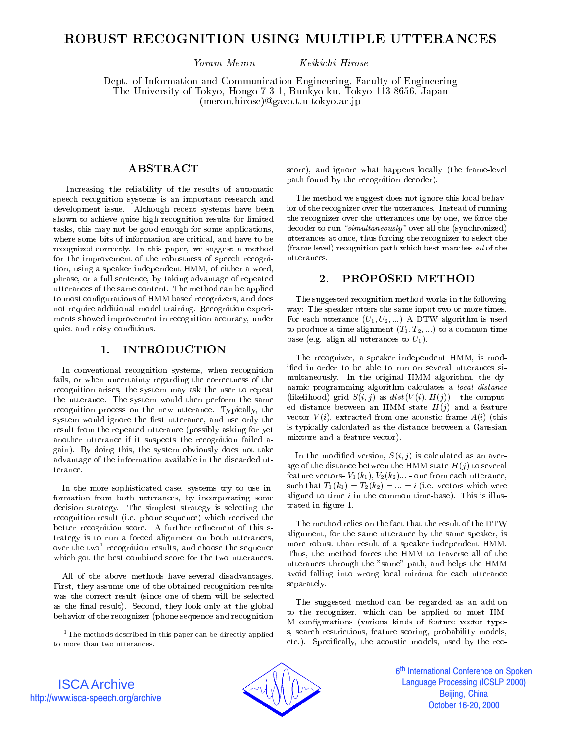# ROBUST RECOGNITION USING MULTIPLE UTTERANCES

Yoram Meron Keikichi Hirose

Dept. of Information and Communication Engineering, Faculty of Engineering The University of Tokyo, Hongo 7-3-1, Bunkyo-ku, Tokyo 113-8656, Japan (meron,hirose)@gavo.t.u-tokyo.ac.jp

Increasing the reliability of the results of automatic speech recognition systems is an important research and development issue. Although recent systems have been shown to achieve quite high recognition results for limited tasks, this may not be good enough for some applications, where some bits of information are critical, and have to be recognized correctly. In this paper, we suggest a method for the improvement of the robustness of speech recognition, using a speaker independent HMM, of either a word, phrase, or a full sentence, by taking advantage of repeated utterances of the same content. The method can be applied to most configurations of HMM based recognizers, and does not require additional model training. Recognition experi ments showed improvement in recognition accuracy, under quiet and noisy conditions.

### **INTRODUCTION**  $\mathbf{1}$ .

In conventional recognition systems, when recognition fails, or when uncertainty regarding the correctness of the recognition arises, the system may ask the user to repeat the utterance. The system would then perform the same recognition process on the new utterance. Typically, the system would ignore the first utterance, and use only the result from the repeated utterance (possibly asking for yet another utterance if it suspects the recognition failed a gain). By doing this, the system obviously does not take advantage of the information available in the discarded utterance.

In the more sophisticated case, systems try to use information from both utterances, by incorporating some decision strategy. The simplest strategy is selecting the recognition result (i.e. phone sequence) which received the better recognition score. A further refinement of this strategy isto run a forced alignment on both utterances, over the two-recognition results, and choose the sequence  $\qquad \quad \_$ which got the best combined score for the two utterances.

All of the above methods have several disadvantages. First, they assume one of the obtained recognition results was the correct result (since one of them will be selected as the final result). Second, they look only at the global behavior of the recognizer (phone sequence and recognition

score), and ignore what happens locally (the frame-level path found by the recognition decoder).

The method we suggest does not ignore this local behavior of the recognizer over the utterances. Instead of running the recognizer over the utterances one by one, we force the  $\text{decoder}$  to run "simultaneously" over all the (synchronized) utterances at once, thus forcing the recognizer to select the (frame level) recognition path which best matches  $all$  of the utterances.

#### 2. PROPOSED METHOD

The suggested recognition method works in the following way: The speaker utters the same input two or more times. For each utterance  $(U_1, U_2, ...)$  A DTW algorithm is used to produce a time alignment  $(T_1, T_2, ...)$  to a common time base (e.g. align all utterances to  $U_1$ ).

The recognizer, a speaker independent HMM, is modied in order to be able to run on several utterances si multaneously. In the original HMM algorithm, the dynamic programming algorithm calculates a local distance (likelihood) grid  $S(i, j)$  as  $dist(V(i), H(j))$  - the computed distance between an HMM state  $H(j)$  and a feature vector  $V(i)$ , extracted from one acoustic frame  $A(i)$  (this is typically calculated as the distance between a Gaussian mixture and a feature vector).

In the modified version,  $S(i, j)$  is calculated as an average of the distance between the HMM state  $H(j)$  to several feature vectors-  $V_1(k_1), V_2(k_2) \dots$  - one from each utterance, such that  $T_1(k_1) = T_2(k_2) = \ldots = i$  (i.e. vectors which were aligned to time  $i$  in the common time-base). This is illustrated in figure 1.

The method relies on the fact that the result of the DTW alignment, for the same utterance by the same speaker, is more robust than result of a speaker independent HMM. Thus, the method forces the HMM to traverse all of the utterances through the "same" path, and helps the HMM avoid falling into wrong local minima for each utterance separately.

The suggested method can be regarded as an add-on to the recognizer, which can be applied to most HM-M congurations (various kinds of feature vector types, search restrictions, feature scoring, probability models, etc.). Specifically, the acoustic models, used by the rec-



6<sup>th</sup> International Conference on Spoken İ **Language Processing (ICSLP 2000)** Beijing, China October 16-20, 2000

ISCA Archive http://www.isca-speech.org/archive

 $^1$ The methods described in this paper can be directly applied to more than two utterances.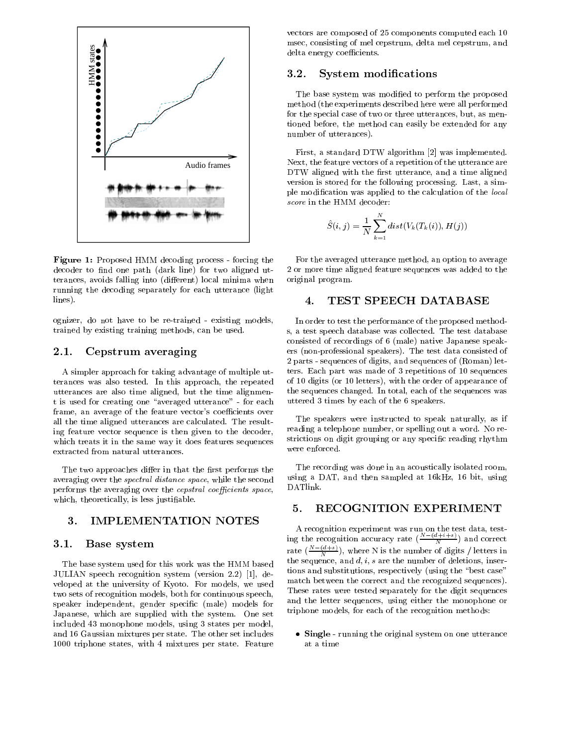

Figure 1: Proposed HMM decoding process - forcing the decoder to find one path (dark line) for two aligned utterances, avoids falling into (different) local minima when running the decoding separately for each utterance (light lines).

ognizer, do not have to be re-trained - existing models, trained by existing training methods, can be used.

# 2.1. Cepstrum averaging

A simpler approach for taking advantage of multiple utterances was also tested. In this approach, the repeated utterances are also time aligned, but the time alignment is used for creating one "averaged utterance" - for each frame, an average of the feature vector's coefficients over all the time aligned utterances are calculated. The resulting feature vector sequence is then given to the decoder, which treats it in the same way it does features sequences structions on discrete enforced. extracted from natural utterances.

The two approaches differ in that the first performs the averaging over the spectral distance space, while the second performs the averaging over the *cepstral coefficients space*, which, theoretically, is less justiable.

# 3. IMPLEMENTATION NOTES

## 3.1. Base system

The base system used for this work was the HMM based JULIAN speech recognition system (version 2.2) [1], de veloped at the university of Kyoto. For models, we used two sets of recognition models, both for continuous speech, speaker independent, gender specic (male) models for Japanese, which are supplied with the system. One set included 43 monophone models, using 3 states per model, and 16 Gaussian mixtures per state. The other set includes 1000 triphone states, with 4 mixtures per state. Feature vectors are composed of 25 components computed each 10 msec, consisting of mel cepstrum, delta mel cepstrum, and delta energy coefficients.

### 3.2. System modications

The base system was modified to perform the proposed method (the experiments described here were all performed for the special case of two or three utterances, but, as mentioned before, the method can easily be extended for any number of utterances).

First, a standard DTW algorithm [2] was implemented. Next, the feature vectors of a repetition of the utterance are DTW aligned with the first utterance, and a time aligned version is stored for the following processing. Last, a simple modication was applied to the calculation of the local score in the HMM decoder:

$$
\hat{S}(i,j) = \frac{1}{N}\sum_{k=1}^N dist(V_k(T_k(i)),H(j))
$$

For the averaged utterance method, an option to average 2 or more time aligned feature sequences was added to the original program.

# 4. TEST SPEECH DATABASE

In order to test the performance of the proposed methods, a test speech database was collected. The test database consisted of recordings of 6 (male) native Japanese speakers (non-professional speakers). The test data consisted of 2 parts - sequences of digits, and sequences of (Roman) letters. Each part was made of 3 repetitions of 10 sequences of 10 digits (or 10 letters), with the order of appearance of the sequences changed. In total, each of the sequences was uttered 3 times by each of the 6 speakers.

The speakers were instructed to speak naturally, as if reading a telephone number, or spelling out a word. No restrictions on digit grouping or any specic reading rhythm

The recording was done in an acoustically isolated room, using a DAT, and then sampled at 16kHz, 16 bit, using DATlink.

# 5. RECOGNITION EXPERIMENT

ing the recognition accuracy rate  $(\frac{N-(d+i+s)}{N})$  and correct rate ( $\frac{(\frac{m}{\alpha}+\epsilon)}{N}$ ), where N is the number of digits / letters in the sequence, and  $d, i, s$  are the number of deletions, insertions and substitutions, respectively (using the \best case" match between the correct and the recognized sequences). These rates were tested separately for the digit sequences and the letter sequences, using either the monophone or triphone models, for each of the recognition methods:

Single - running the original system on one utterance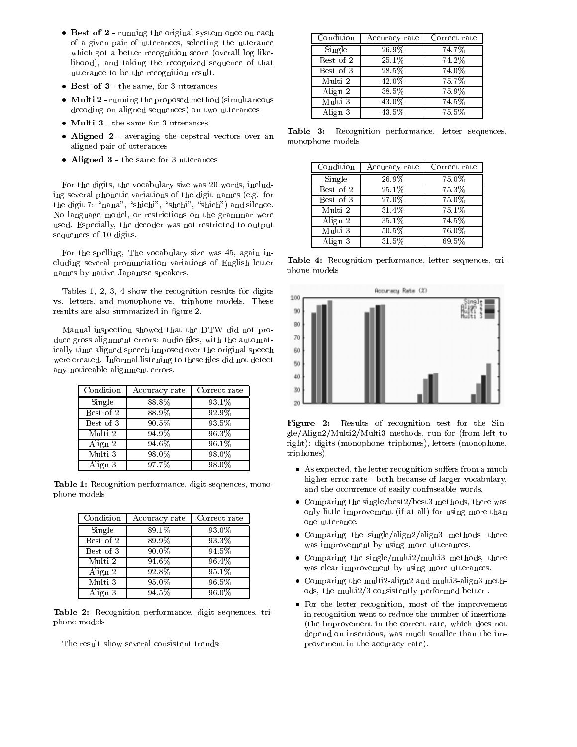- $\mathbf{P}$  running the original system on the only  $\mathbf{P}$ of a given pair of utterances, selecting the utterance which got a better recognition score (overall log likelihood), and taking the recognized sequence of that utterance to be the recognition result.
- Best of 3 the same, for 3 utterances
- $\mathcal{L}$  running the proposed method (simultaneous method (simultaneous  $\mathcal{L}$ decoding on aligned sequences) on two utterances
- multi 3 the same for 3 utterances in
- Aligned 2 averaging the cepstral vectors over an aligned pair of utterances
- Aligned 3 the same for 3 utterances

For the digits, the vocabulary size was 20 words, including several phonetic variations of the digit names (e.g. for the digit 7: " $nana$ ", " $\text{shichi}$ ", " $\text{shichi}$ ", " $\text{shichi}$ ") and silence. No language model, or restrictions on the grammar were used. Especially, the decoder was not restricted to output sequences of 10 digits.

For the spelling, The vocabulary size was 45, again including several pronunciation variations of English letter names by native Japanese speakers.

Tables 1, 2, 3, 4 show the recognition results for digits  $\frac{1}{100}$ vs. letters, and monophone vs. triphone models. These results are also summarized in figure 2.

Manual inspection showed that the DTW did not produce gross alignment errors: audio files, with the automatically time aligned speech imposed over the original speech were created. Informal listening to these files did not detect  $\begin{array}{|c|c|c|}\hline \end{array}$ any noticeable alignment errors.

| Condition | Accuracy rate | Correct rate |
|-----------|---------------|--------------|
| Single    | 88.8%         | 93.1%        |
| Best of 2 | 88.9%         | 92.9%        |
| Best of 3 | $90.5\%$      | 93.5%        |
| Multi 2   | 94.9%         | 96.3%        |
| Align 2   | 94.6%         | 96.1%        |
| Multi 3   | 98.0%         | 98.0%        |
| Align 3   | 97.7%         | 98.0%        |

Table 1: Recognition performance, digit sequences, monophone models

| Condition | Accuracy rate       | Correct rate        |
|-----------|---------------------|---------------------|
| Single    | 89.1%               | 93.0%               |
| Best of 2 | 89.9%               | 93.3%               |
| Best of 3 | 90.0%               | 94.5%               |
| Multi 2   | $94.\overline{6\%}$ | 96.4%               |
| Align 2   | $92.\overline{8\%}$ | $95.\overline{1\%}$ |
| Multi 3   | 95.0%               | 96.5%               |
| Align 3   | 94.5%               | 96.0%               |

Table 2: Recognition performance, digit sequences, triphone models

The result show several consistent trends:

| Condition | Accuracy rate | Correct rate |
|-----------|---------------|--------------|
| Single    | 26.9%         | 74.7%        |
| Best of 2 | 25.1%         | 74.2%        |
| Best of 3 | 28.5%         | 74.0%        |
| Multi 2   | 42.0%         | 75.7%        |
| Align 2   | 38.5%         | 75.9%        |
| Multi 3   | 43.0%         | 74.5%        |
| Align 3   | 43.5%         | 75.5%        |

Table 3: Recognition performance, letter sequences, monophone models

| Condition | Accuracy rate | Correct rate |
|-----------|---------------|--------------|
| Single    | 26.9%         | 75.0%        |
| Best of 2 | 25.1%         | 75.3%        |
| Best of 3 | 27.0%         | 75.0%        |
| Multi 2   | 31.4%         | 75.1%        |
| Align 2   | 35.1%         | 74.5%        |
| Multi 3   | 50.5%         | 76.0%        |
| Align 3   | $31.5\%$      | 69.5%        |

Table 4: Recognition performance, letter sequences, triphone models



Figure 2: Results of recognition test for the Single/Align2/Multi2/Multi3 methods, run for (from left to right): digits (monophone, triphones), letters (monophone, triphones)

- As expected, the letter recognition suers from a much higher error rate - both because of larger vocabulary, and the occurrence of easily confuseable words.
- Comparing the single/best2/best3 methods, there was only little improvement (if at all) for using more than one utterance.
- Comparing the single/align2/align3 methods, there was improvement by using more utterances.
- Comparing the single/multi2/multi3 methods, there was clear improvement by using more utterances.
- Comparing the multi2-align2 and multi3-align3 methods, the multi2/3 consistently performed better .
- For the letter recognition, most of the improvement in recognition went to reduce the number of insertions (the improvement in the correct rate, which does not depend on insertions, was much smaller than the improvement in the accuracy rate).